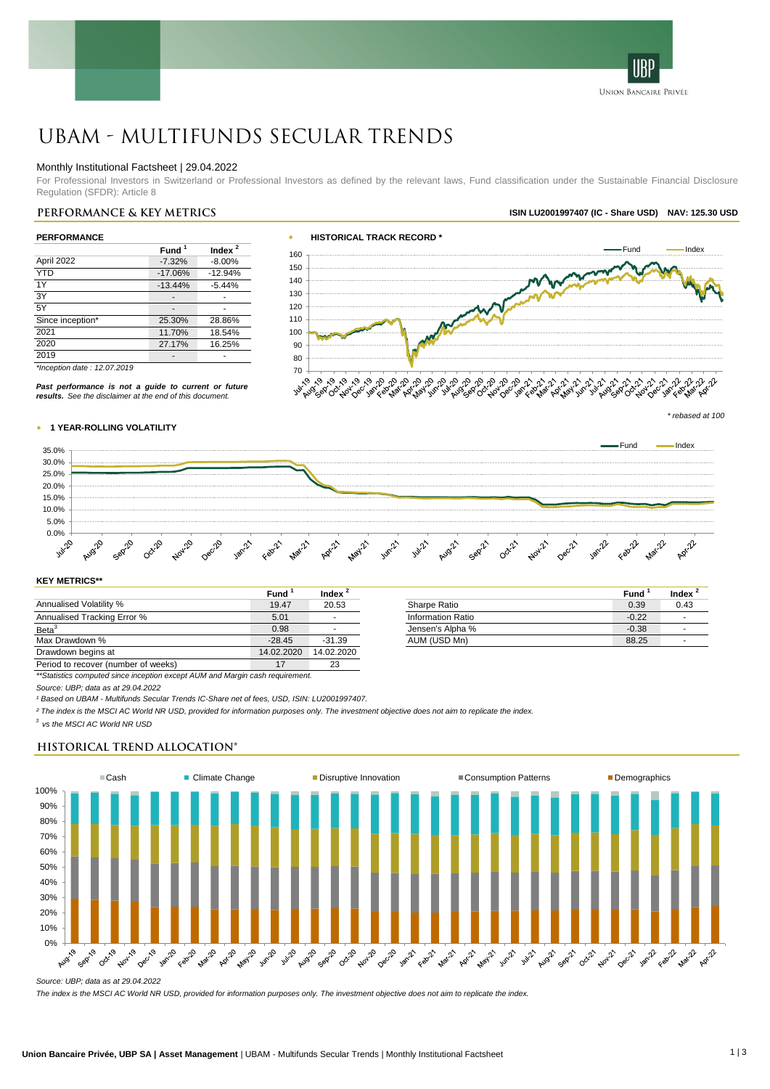

# UBAM - Multifunds Secular Trends

### Monthly Institutional Factsheet | 29.04.2022

For Professional Investors in Switzerland or Professional Investors as defined by the relevant laws, Fund classification under the Sustainable Financial Disclosure Regulation (SFDR): Article 8

| April 2022       | Fund <sup>1</sup><br>$-7.32%$<br>$-17.06%$ | Index $^2$<br>$-8.00%$ |
|------------------|--------------------------------------------|------------------------|
|                  |                                            |                        |
|                  |                                            |                        |
| <b>YTD</b>       |                                            | $-12.94%$              |
| 1Y               | $-13.44%$                                  | $-5.44%$               |
| 3Y               |                                            |                        |
| 5Y               |                                            |                        |
| Since inception* | 25.30%                                     | 28.86%                 |
| 2021             | 11.70%                                     | 18.54%                 |
| 2020             | 27.17%                                     | 16.25%                 |
| 2019             |                                            |                        |



*\*Inception date : 12.07.2019*

*Past performance is not a guide to current or future results. See the disclaimer at the end of this document.*



**Index <sup>2</sup>**

#### w **1 YEAR-ROLLING VOLATILITY**



#### **KEY METRICS\*\***

|                                     | Fund       | Index      |                   | Fund    | Ind |
|-------------------------------------|------------|------------|-------------------|---------|-----|
| <b>Annualised Volatility %</b>      | 19.47      | 20.53      | Sharpe Ratio      | 0.39    | 0.  |
| Annualised Tracking Error %         | 5.01       |            | Information Ratio | $-0.22$ |     |
| Beta <sup>3</sup>                   | 0.98       |            | Jensen's Alpha %  | $-0.38$ |     |
| Max Drawdown %                      | $-28.45$   | $-31.39$   | AUM (USD Mn)      | 88.25   |     |
| Drawdown begins at                  | 14.02.2020 | 14.02.2020 |                   |         |     |
| Period to recover (number of weeks) | 17         | 23         |                   |         |     |

*\*\*Statistics computed since inception except AUM and Margin cash requirement.*

*Source: UBP; data as at 29.04.2022*

*¹ Based on UBAM - Multifunds Secular Trends IC-Share net of fees, USD, ISIN: LU2001997407.*

*² The index is the MSCI AC World NR USD, provided for information purposes only. The investment objective does not aim to replicate the index.*

*3 vs the MSCI AC World NR USD*

# **Historical Trend Allocation\***



*Source: UBP; data as at 29.04.2022*

*The index is the MSCI AC World NR USD, provided for information purposes only. The investment objective does not aim to replicate the index.*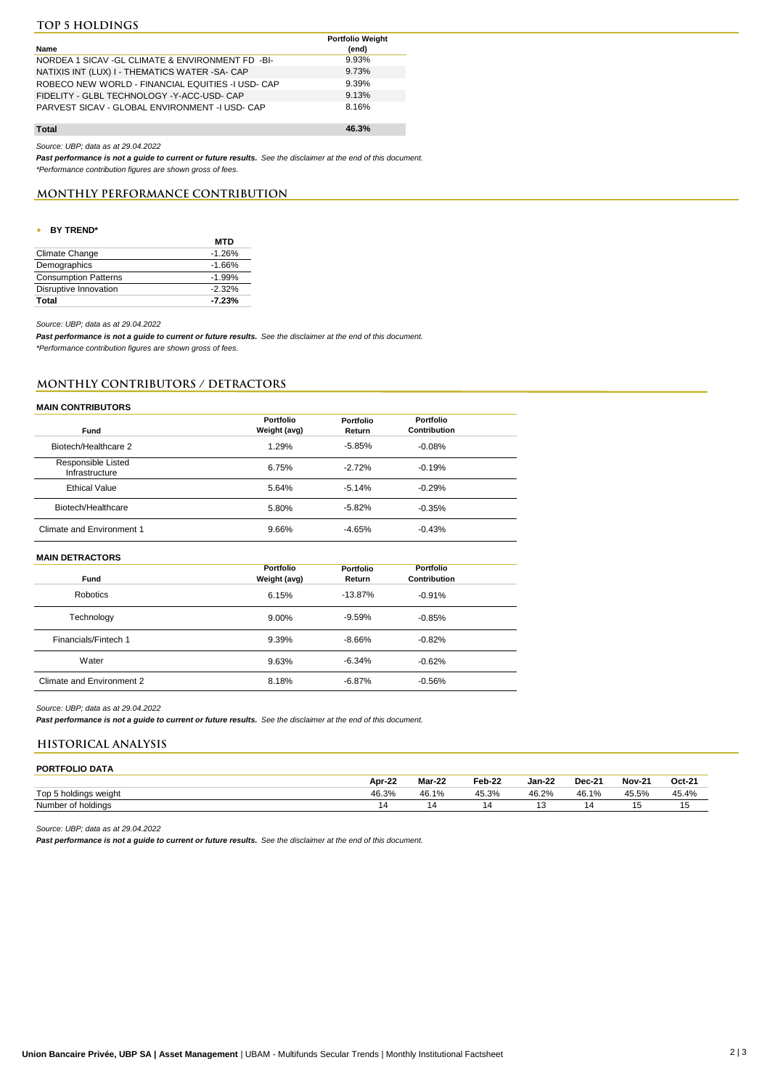# **Top 5 holdings**

|                                                    | <b>Portfolio Weight</b> |
|----------------------------------------------------|-------------------------|
| Name                                               | (end)                   |
| NORDEA 1 SICAV - GL CLIMATE & ENVIRONMENT FD - BI- | 9.93%                   |
| NATIXIS INT (LUX) I - THEMATICS WATER -SA- CAP     | 9.73%                   |
| ROBECO NEW WORLD - FINANCIAL EQUITIES -I USD- CAP  | 9.39%                   |
| FIDELITY - GLBL TECHNOLOGY - Y-ACC-USD- CAP        | 9.13%                   |
| PARVEST SICAV - GLOBAL ENVIRONMENT - IUSD- CAP     | 8.16%                   |
| Total                                              | 46.3%                   |

**Total**

*Source: UBP; data as at 29.04.2022*

*Past performance is not a guide to current or future results. See the disclaimer at the end of this document. \*Performance contribution figures are shown gross of fees.* 

# **Monthly PERFORMANCE CONTRIBUTION**

### w **BY TREND\***

|                             | <b>MTD</b> |
|-----------------------------|------------|
| Climate Change              | $-1.26%$   |
| Demographics                | $-1.66%$   |
| <b>Consumption Patterns</b> | $-1.99%$   |
| Disruptive Innovation       | $-2.32%$   |
| Total                       | $-7.23%$   |

*Source: UBP; data as at 29.04.2022*

*Past performance is not a guide to current or future results. See the disclaimer at the end of this document. \*Performance contribution figures are shown gross of fees.* 

# **MONTHLY CONTRIBUTORS / DETRACTORS**

# **MAIN CONTRIBUTORS**

| Fund                                 | Portfolio<br>Weight (avg) | Portfolio<br>Return | Portfolio<br>Contribution |  |
|--------------------------------------|---------------------------|---------------------|---------------------------|--|
| Biotech/Healthcare 2                 | 1.29%                     | $-5.85%$            | $-0.08%$                  |  |
| Responsible Listed<br>Infrastructure | 6.75%                     | $-2.72%$            | $-0.19%$                  |  |
| <b>Ethical Value</b>                 | 5.64%                     | $-5.14%$            | $-0.29%$                  |  |
| Biotech/Healthcare                   | 5.80%                     | $-5.82%$            | $-0.35%$                  |  |
| Climate and Environment 1            | 9.66%                     | $-4.65%$            | $-0.43%$                  |  |

#### **MAIN DETRACTORS**

| Fund                      | Portfolio<br>Weight (avg) | Portfolio<br>Return | Portfolio<br>Contribution |  |
|---------------------------|---------------------------|---------------------|---------------------------|--|
| Robotics                  | 6.15%                     | $-13.87%$           | $-0.91%$                  |  |
| Technology                | 9.00%                     | $-9.59%$            | $-0.85%$                  |  |
| Financials/Fintech 1      | 9.39%                     | $-8.66%$            | $-0.82%$                  |  |
| Water                     | 9.63%                     | $-6.34%$            | $-0.62%$                  |  |
| Climate and Environment 2 | 8.18%                     | $-6.87%$            | $-0.56%$                  |  |

#### *Source: UBP; data as at 29.04.2022*

*Past performance is not a guide to current or future results. See the disclaimer at the end of this document.*

# **HISTORICAL ANALYSIS**

#### **PORTFOLIO DATA Apr-22 Mar-22 Feb-22 Jan-22 Dec-21 Nov-21 Oct-21** Top 5 holdings weight 46.3% 46.1% 45.3% 46.2% 46.1% 45.5% 45.4% Number of holdings and the set of the set of holdings and the set of the set of the set of the set of the set of the set of the set of the set of the set of the set of the set of the set of the set of the set of the set of

*Source: UBP; data as at 29.04.2022*

*Past performance is not a guide to current or future results. See the disclaimer at the end of this document.*